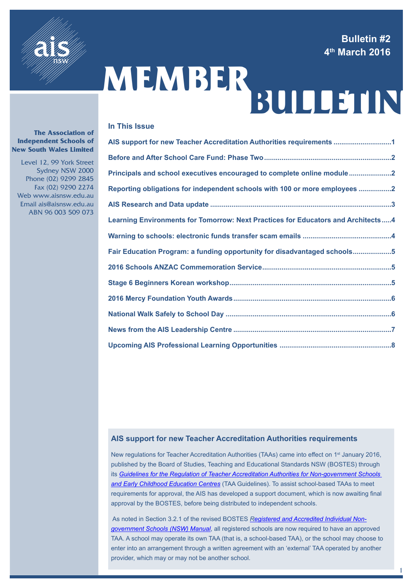**Bulletin #2 4th March 2016**

1



# MEMBER<br>BULLETIN

#### **In This Issue**

| AIS support for new Teacher Accreditation Authorities requirements 1               |  |
|------------------------------------------------------------------------------------|--|
|                                                                                    |  |
| Principals and school executives encouraged to complete online module2             |  |
| Reporting obligations for independent schools with 100 or more employees 2         |  |
|                                                                                    |  |
| Learning Environments for Tomorrow: Next Practices for Educators and Architects  4 |  |
|                                                                                    |  |
| Fair Education Program: a funding opportunity for disadvantaged schools5           |  |
|                                                                                    |  |
|                                                                                    |  |
|                                                                                    |  |
|                                                                                    |  |
|                                                                                    |  |
|                                                                                    |  |

#### **AIS support for new Teacher Accreditation Authorities requirements**

New regulations for Teacher Accreditation Authorities (TAAs) came into effect on 1<sup>st</sup> January 2016, published by the Board of Studies, Teaching and Educational Standards NSW (BOSTES) through its *[Guidelines for the Regulation of Teacher Accreditation Authorities for Non-government Schools](http://www.boardofstudies.nsw.edu.au/taa-regulation/pdf_doc/guidelines-teacher-accreditation-authorities.pdf)  [and Early Childhood Education Centres](http://www.boardofstudies.nsw.edu.au/taa-regulation/pdf_doc/guidelines-teacher-accreditation-authorities.pdf)* (TAA Guidelines). To assist school-based TAAs to meet requirements for approval, the AIS has developed a support document, which is now awaiting final approval by the BOSTES, before being distributed to independent schools.

As noted in Section 3.2.1 of the revised BOSTES *[Registered and Accredited Individual Non](http://www.boardofstudies.nsw.edu.au/rego/pdf_doc/reg-accred-individ-non-gov-manual.pdf)[government Schools \(NSW\) Manual](http://www.boardofstudies.nsw.edu.au/rego/pdf_doc/reg-accred-individ-non-gov-manual.pdf)*, all registered schools are now required to have an approved TAA. A school may operate its own TAA (that is, a school-based TAA), or the school may choose to enter into an arrangement through a written agreement with an 'external' TAA operated by another provider, which may or may not be another school.

#### **The Association of Independent Schools of New South Wales Limited**

 Level 12, 99 York Street Sydney NSW 2000 Phone (02) 9299 2845 Fax (02) 9290 2274 Web www.aisnsw.edu.au Email ais@aisnsw.edu.au ABN 96 003 509 073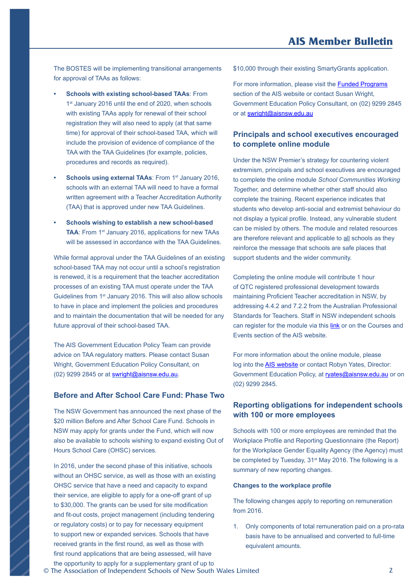<span id="page-1-0"></span>The BOSTES will be implementing transitional arrangements for approval of TAAs as follows:

- **• Schools with existing school-based TAAs**: From 1<sup>st</sup> January 2016 until the end of 2020, when schools with existing TAAs apply for renewal of their school registration they will also need to apply (at that same time) for approval of their school-based TAA*,* which will include the provision of evidence of compliance of the TAA with the TAA Guidelines (for example, policies, procedures and records as required).
- **Schools using external TAAs: From 1st January 2016,** schools with an external TAA will need to have a formal written agreement with a Teacher Accreditation Authority (TAA) that is approved under new TAA Guidelines.
- **• Schools wishing to establish a new school-based TAA: From 1st January 2016, applications for new TAAs** will be assessed in accordance with the TAA Guidelines.

While formal approval under the TAA Guidelines of an existing school-based TAA may not occur until a school's registration is renewed, it is a requirement that the teacher accreditation processes of an existing TAA must operate under the TAA Guidelines from 1st January 2016. This will also allow schools to have in place and implement the policies and procedures and to maintain the documentation that will be needed for any future approval of their school-based TAA.

The AIS Government Education Policy Team can provide advice on TAA regulatory matters. Please contact Susan Wright, Government Education Policy Consultant, on (02) 9299 2845 or at [swright@aisnsw.edu.au](mailto:swright@aisnsw.edu.au).

#### **Before and After School Care Fund: Phase Two**

The NSW Government has announced the next phase of the \$20 million Before and After School Care Fund. Schools in NSW may apply for grants under the Fund, which will now also be available to schools wishing to expand existing Out of Hours School Care (OHSC) services.

In 2016, under the second phase of this initiative, schools without an OHSC service, as well as those with an existing OHSC service that have a need and capacity to expand their service, are eligible to apply for a one-off grant of up to \$30,000. The grants can be used for site modification and fit-out costs, project management (including tendering or regulatory costs) or to pay for necessary equipment to support new or expanded services. Schools that have received grants in the first round, as well as those with first round applications that are being assessed, will have the opportunity to apply for a supplementary grant of up to

\$10,000 through their existing SmartyGrants application.

For more information, please visit the [Funded Programs](https://www.aisnsw.edu.au/FundedPrograms/Pages/default.aspx) section of the AIS website or contact Susan Wright, Government Education Policy Consultant, on (02) 9299 2845 or at [swright@aisnsw.edu.au](mailto:swright@aisnsw.edu.au)

#### **Principals and school executives encouraged to complete online module**

Under the NSW Premier's strategy for countering violent extremism, principals and school executives are encouraged to complete the online module *School Communities Working Together,* and determine whether other staff should also complete the training. Recent experience indicates that students who develop anti-social and extremist behaviour do not display a typical profile. Instead, any vulnerable student can be misled by others. The module and related resources are therefore relevant and applicable to all schools as they reinforce the message that schools are safe places that support students and the wider community.

Completing the online module will contribute 1 hour of QTC registered professional development towards maintaining Proficient Teacher accreditation in NSW, by addressing 4.4.2 and 7.2.2 from the Australian Professional Standards for Teachers. Staff in NSW independent schools can register for the module via this [link](https://www.aisnsw.edu.au/CoursesEvents/Pages/CourseDetail.aspx?cid=06D94CB2-0DA2-E511-A4A5-005056B81031) or on the Courses and Events section of the AIS website.

For more information about the online module, please log into the [AIS website](https://www.aisnsw.edu.au/_layouts/15/theseus/login.aspx?ReturnUrl=%2fServices%2fGovtRegs%2f_layouts%2f15%2fAuthenticate.aspx%3fSource%3d%252FServices%252FGovtRegs%252FPages%252FCountering%252Danti%252Dsocial%252Dand%252Dextremist%252Dbehaviour%252Easpx&Source=%2FServices%2FGovtRegs%2FPages%2FCountering-anti-social-and-extremist-behaviour%2Easpx) or contact Robyn Yates, Director: Government Education Policy, at [ryates@aisnsw.edu.au](mailto:ryates@aisnsw.edu.au) or on (02) 9299 2845.

#### **Reporting obligations for independent schools with 100 or more employees**

Schools with 100 or more employees are reminded that the Workplace Profile and Reporting Questionnaire (the Report) for the Workplace Gender Equality Agency (the Agency) must be completed by Tuesday, 31<sup>st</sup> May 2016. The following is a summary of new reporting changes.

#### **Changes to the workplace profile**

The following changes apply to reporting on remuneration from 2016.

1. Only components of total remuneration paid on a pro-rata basis have to be annualised and converted to full-time equivalent amounts.

© The Association of Independent Schools of New South Wales Limited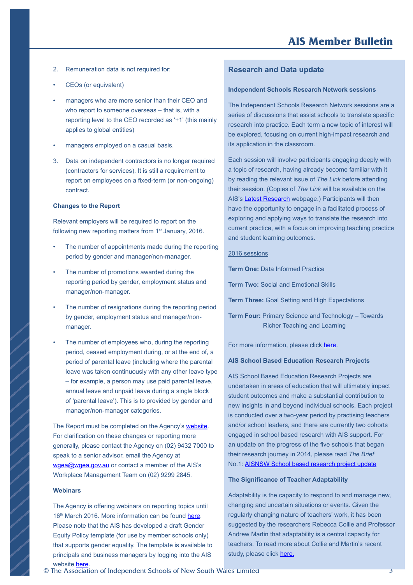- <span id="page-2-0"></span>2. Remuneration data is not required for:
- CEOs (or equivalent)
- managers who are more senior than their CEO and who report to someone overseas – that is, with a reporting level to the CEO recorded as '+1' (this mainly applies to global entities)
- managers employed on a casual basis.
- 3. Data on independent contractors is no longer required (contractors for services). It is still a requirement to report on employees on a fixed-term (or non-ongoing) contract.

#### **Changes to the Report**

Relevant employers will be required to report on the following new reporting matters from 1<sup>st</sup> January, 2016.

- The number of appointments made during the reporting period by gender and manager/non-manager.
- The number of promotions awarded during the reporting period by gender, employment status and manager/non-manager.
- The number of resignations during the reporting period by gender, employment status and manager/nonmanager.
- The number of employees who, during the reporting period, ceased employment during, or at the end of, a period of parental leave (including where the parental leave was taken continuously with any other leave type – for example, a person may use paid parental leave, annual leave and unpaid leave during a single block of 'parental leave'). This is to provided by gender and manager/non-manager categories.

The Report must be completed on the Agency's [website.](https://www.wgea.gov.au/) For clarification on these changes or reporting more generally, please contact the Agency on (02) 9432 7000 to speak to a senior advisor, email the Agency at [wgea@wgea.gov.au](mailto:wgea@wgea.gov.au) or contact a member of the AIS's Workplace Management Team on (02) 9299 2845.

#### **Webinars**

The Agency is offering webinars on reporting topics until 16<sup>th</sup> March 2016. More information can be found [here.](https://www.wgea.gov.au/events-and-workshops) Please note that the AIS has developed a draft Gender Equity Policy template (for use by member schools only) that supports gender equality. The template is available to principals and business managers by logging into the AIS website [here.](https://www.aisnsw.edu.au/_layouts/15/theseus/login.aspx?ReturnUrl=%2fServices%2fPolicyDocumentsForSchools%2f_layouts%2f15%2fAuthenticate.aspx%3fSource%3d%252FServices%252FPolicyDocumentsForSchools%252FPages%252Fdefault%252Easpx&Source=%2FServices%2FPolicy)

#### **Research and Data update**

#### **Independent Schools Research Network sessions**

The Independent Schools Research Network sessions are a series of discussions that assist schools to translate specific research into practice. Each term a new topic of interest will be explored, focusing on current high-impact research and its application in the classroom.

Each session will involve participants engaging deeply with a topic of research, having already become familiar with it by reading the relevant issue of *The Link* before attending their session. (Copies of *The Link* will be available on the AIS's [Latest Research](https://www.aisnsw.edu.au/Services/EducationResearch/Pages/Latest-research.aspx) webpage.) Participants will then have the opportunity to engage in a facilitated process of exploring and applying ways to translate the research into current practice, with a focus on improving teaching practice and student learning outcomes.

#### 2016 sessions

**Term One:** Data Informed Practice

**Term Two:** Social and Emotional Skills

**Term Three:** Goal Setting and High Expectations

**Term Four:** Primary Science and Technology – Towards Richer Teaching and Learning

For more information, please click [here.](https://www.aisnsw.edu.au/Services/EducationResearch/Documents/15%20Flyer%20ISRN%20Courses%201-4%20Online.pdf)

#### **AIS School Based Education Research Projects**

AIS School Based Education Research Projects are undertaken in areas of education that will ultimately impact student outcomes and make a substantial contribution to new insights in and beyond individual schools. Each project is conducted over a two-year period by practising teachers and/or school leaders, and there are currently two cohorts engaged in school based research with AIS support. For an update on the progress of the five schools that began their research journey in 2014, please read *The Brief*  No.1: **AISNSW [School based research project update](https://www.aisnsw.edu.au/Services/EducationResearch/Latest%20Research%20Documents/Brief%201%20School%20Based%20Research%20Projects%20Interim%20Report%20FINAL.pdf)** 

#### **The Significance of Teacher Adaptability**

Adaptability is the capacity to respond to and manage new, changing and uncertain situations or events. Given the regularly changing nature of teachers' work, it has been suggested by the researchers Rebecca Collie and Professor Andrew Martin that adaptability is a central capacity for teachers. To read more about Collie and Martin's recent study, please click [here.](https://www.aisnsw.edu.au/Services/EducationResearch/Latest%20Research%20Documents/The%20Link%20Teacher%20Adaptability%20FINAL.pdf)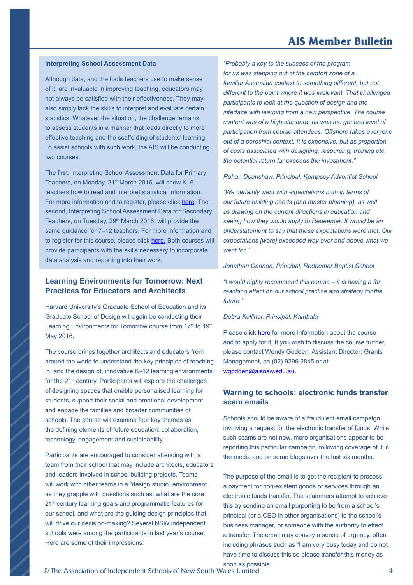#### **AIS Member Bulletin**

#### <span id="page-3-0"></span>**Interpreting School Assessment Data**

Although data, and the tools teachers use to make sense of it, are invaluable in improving teaching, educators may not always be satisfied with their effectiveness. They may also simply lack the skills to interpret and evaluate certain statistics. Whatever the situation, the challenge remains to assess students in a manner that leads directly to more effective teaching and the scaffolding of students' learning. To assist schools with such work, the AIS will be conducting two courses.

The first, Interpreting School Assessment Data for Primary Teachers, on Monday, 21<sup>st</sup> March 2016, will show K-6 teachers how to read and interpret statistical information. For more information and to register, please click [here](https://www.aisnsw.edu.au/CoursesEvents/Pages/CourseDetail.aspx?cid=0d406097-227c-4565-87d9-385fcb4feaa6). The second, Interpreting School Assessment Data for Secondary Teachers, on Tuesday, 29<sup>th</sup> March 2016, will provide the same guidance for 7–12 teachers. For more information and to register for this course, please click [here](https://www.aisnsw.edu.au/CoursesEvents/Pages/CourseDetail.aspx?cid=7be12568-d55c-497f-9bfe-b3ac01cfd2c1). Both courses will provide participants with the skills necessary to incorporate data analysis and reporting into their work.

#### **Learning Environments for Tomorrow: Next Practices for Educators and Architects**

Harvard University's Graduate School of Education and its Graduate School of Design will again be conducting their Learning Environments for Tomorrow course from 17<sup>th</sup> to 19<sup>th</sup> May 2016.

The course brings together architects and educators from around the world to understand the key principles of teaching in, and the design of, innovative K–12 learning environments for the 21<sup>st</sup> century. Participants will explore the challenges of designing spaces that enable personalised learning for students, support their social and emotional development and engage the families and broader communities of schools. The course will examine four key themes as the defining elements of future education: collaboration, technology, engagement and sustainability.

Participants are encouraged to consider attending with a team from their school that may include architects, educators and leaders involved in school building projects. Teams will work with other teams in a "design studio" environment as they grapple with questions such as: what are the core 21<sup>st</sup> century learning goals and programmatic features for our school, and what are the guiding design principles that will drive our decision-making? Several NSW independent schools were among the participants in last year's course. Here are some of their impressions:

*"Probably a key to the success of the program for us was stepping out of the comfort zone of a familiar Australian context to something different, but not different to the point where it was irrelevant. That challenged participants to look at the question of design and the interface with learning from a new perspective. The course content was of a high standard, as was the general level of participation from course attendees. Offshore takes everyone out of a parochial context. It is expensive, but as proportion of costs associated with designing, resourcing, training etc, the potential return far exceeds the investment."*

*Rohan Deanshaw, Principal, Kempsey Adventist School* 

*"We certainly went with expectations both in terms of our future building needs (and master planning), as well as drawing on the current directions in education and seeing how they would apply to Redeemer. It would be an understatement to say that these expectations were met. Our expectations [were] exceeded way over and above what we went for."*

*Jonathan Cannon, Principal, Redeemer Baptist School* 

*"I would highly recommend this course – it is having a far reaching effect on our school practice and strategy for the future."*

#### *Debra Kelliher, Principal, Kambala*

Please click [here](https://www.aisnsw.edu.au/Publications/Other/Documents/Learning%20Environments%20for%20Tommorrow%20-%20Harvard%20course.pdf) for more information about the course and to apply for it. If you wish to discuss the course further, please contact Wendy Godden, Assistant Director: Grants Management, on (02) 9299 2845 or at [wgodden@aisnsw.edu.au.](mailto:wgodden@aisnsw.edu.au)

#### **Warning to schools: electronic funds transfer scam emails**

Schools should be aware of a fraudulent email campaign involving a request for the electronic transfer of funds. While such scams are not new, more organisations appear to be reporting this particular campaign, following coverage of it in the media and on some blogs over the last six months.

The purpose of the email is to get the recipient to process a payment for non-existent goods or services through an electronic funds transfer. The scammers attempt to achieve this by sending an email purporting to be from a school's principal (or a CEO in other organisations) to the school's business manager, or someone with the authority to effect a transfer. The email may convey a sense of urgency, often including phrases such as "I am very busy today and do not have time to discuss this so please transfer this money as

soon as possible."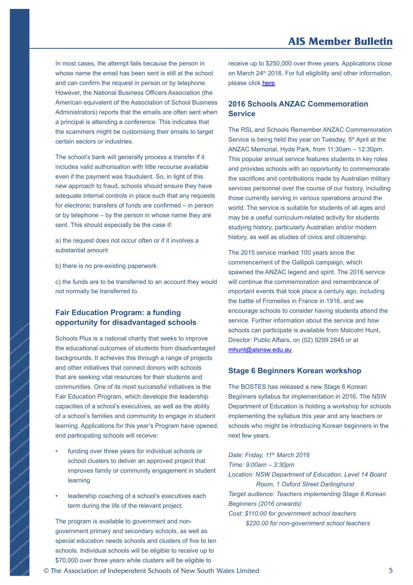<span id="page-4-0"></span>In most cases, the attempt fails because the person in whose name the email has been sent is still at the school and can confirm the request in person or by telephone. However, the National Business Officers Association (the American equivalent of the Association of School Business Administrators) reports that the emails are often sent when a principal is attending a conference. This indicates that the scammers might be customising their emails to target certain sectors or industries.

The school's bank will generally process a transfer if it includes valid authorisation with little recourse available even if the payment was fraudulent. So, in light of this new approach to fraud, schools should ensure they have adequate internal controls in place such that any requests for electronic transfers of funds are confirmed – in person or by telephone – by the person in whose name they are sent. This should especially be the case if:

a) the request does not occur often or if it involves a substantial amount

b) there is no pre-existing paperwork

c) the funds are to be transferred to an account they would not normally be transferred to.

#### **Fair Education Program: a funding opportunity for disadvantaged schools**

Schools Plus is a national charity that seeks to improve the educational outcomes of students from disadvantaged backgrounds. It achieves this through a range of projects and other initiatives that connect donors with schools that are seeking vital resources for their students and communities. One of its most successful initiatives is the Fair Education Program, which develops the leadership capacities of a school's executives, as well as the ability of a school's families and community to engage in student learning. Applications for this year's Program have opened, and participating schools will receive:

- funding over three years for individual schools or school clusters to deliver an approved project that improves family or community engagement in student learning
- leadership coaching of a school's executives each term during the life of the relevant project.

The program is available to government and nongovernment primary and secondary schools, as well as special education needs schools and clusters of five to ten schools. Individual schools will be eligible to receive up to \$70,000 over three years while clusters will be eligible to

receive up to \$250,000 over three years. Applications close on March 24<sup>th</sup> 2016. For full eligibility and other information, please click [here](https://www.aisnsw.edu.au/Publications/Other/Documents/Fair%20Education%20Program%202016.pdf).

#### **2016 Schools ANZAC Commemoration Service**

The RSL and Schools Remember ANZAC Commemoration Service is being held this year on Tuesday, 5<sup>th</sup> April at the ANZAC Memorial, Hyde Park, from 11:30am – 12:30pm. This popular annual service features students in key roles and provides schools with an opportunity to commemorate the sacrifices and contributions made by Australian military services personnel over the course of our history, including those currently serving in various operations around the world. The service is suitable for students of all ages and may be a useful curriculum-related activity for students studying history, particularly Australian and/or modern history, as well as studies of civics and citizenship.

The 2015 service marked 100 years since the commencement of the Gallipoli campaign, which spawned the ANZAC legend and spirit. The 2016 service will continue the commemoration and remembrance of important events that took place a century ago, including the battle of Fromelles in France in 1916, and we encourage schools to consider having students attend the service. Further information about the service and how schools can participate is available from Malcolm Hunt, Director: Public Affairs, on (02) 9299 2845 or at [mhunt@aisnsw.edu.au](mailto:mhunt@aisnsw.edu.au)

#### **Stage 6 Beginners Korean workshop**

The BOSTES has released a new Stage 6 Korean Beginners syllabus for implementation in 2016. The NSW Department of Education is holding a workshop for schools implementing the syllabus this year and any teachers or schools who might be introducing Korean beginners in the next few years.

*Date: Friday, 11th March 2016 Time: 9:00am – 3:30pm Location: NSW Department of Education, Level 14 Board Room, 1 Oxford Street Darlinghurst Target audience: Teachers implementing Stage 6 Korean Beginners (2016 onwards) Cost: \$110.00 for government school teachers* 

 *\$220.00 for non-government school teachers*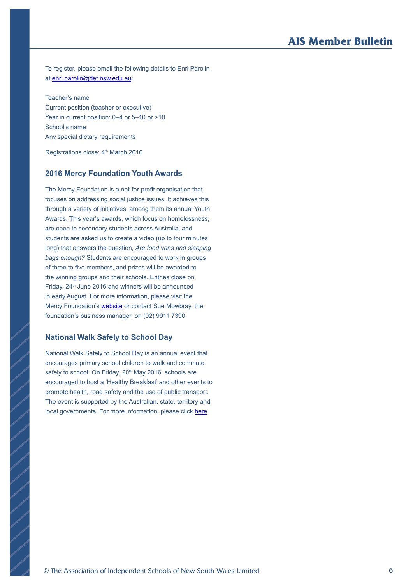To register, please email the following details to Enri Parolin at [enri.parolin@det.nsw.edu.au](mailto:enri.parolin@det.nsw.edu.au):

Teacher's name Current position (teacher or executive) Year in current position: 0–4 or 5–10 or >10 School's name Any special dietary requirements

Registrations close: 4<sup>th</sup> March 2016

#### **2016 Mercy Foundation Youth Awards**

The Mercy Foundation is a not-for-profit organisation that focuses on addressing social justice issues. It achieves this through a variety of initiatives, among them its annual Youth Awards. This year's awards, which focus on homelessness, are open to secondary students across Australia, and students are asked us to create a video (up to four minutes long) that answers the question, *Are food vans and sleeping bags enough?* Students are encouraged to work in groups of three to five members, and prizes will be awarded to the winning groups and their schools. Entries close on Friday, 24<sup>th</sup> June 2016 and winners will be announced in early August. For more information, please visit the Mercy Foundation's [website](http://www.mercyfoundation.com.au/index.cfm) or contact Sue Mowbray, the foundation's business manager, on (02) 9911 7390.

#### **National Walk Safely to School Day**

National Walk Safely to School Day is an annual event that encourages primary school children to walk and commute safely to school. On Friday, 20<sup>th</sup> May 2016, schools are encouraged to host a 'Healthy Breakfast' and other events to promote health, road safety and the use of public transport. The event is supported by the Australian, state, territory and local governments. For more information, please click [here.](http://www.walk.com.au/wstsd/)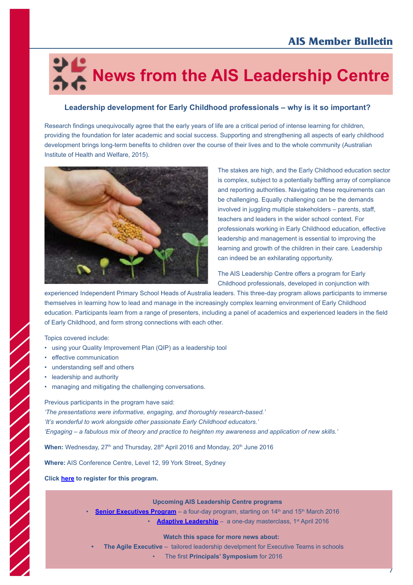## <span id="page-6-0"></span> **News from the AIS Leadership Centre**

#### **Leadership development for Early Childhood professionals – why is it so important?**

Research findings unequivocally agree that the early years of life are a critical period of intense learning for children, providing the foundation for later academic and social success. Supporting and strengthening all aspects of early childhood development brings long-term benefits to children over the course of their lives and to the whole community (Australian Institute of Health and Welfare, 2015).



The stakes are high, and the Early Childhood education sector is complex, subject to a potentially baffling array of compliance and reporting authorities. Navigating these requirements can be challenging. Equally challenging can be the demands involved in juggling multiple stakeholders – parents, staff, teachers and leaders in the wider school context. For professionals working in Early Childhood education, effective leadership and management is essential to improving the learning and growth of the children in their care. Leadership can indeed be an exhilarating opportunity.

The AIS Leadership Centre offers a program for Early Childhood professionals, developed in conjunction with

experienced Independent Primary School Heads of Australia leaders. This three-day program allows participants to immerse themselves in learning how to lead and manage in the increasingly complex learning environment of Early Childhood education. Participants learn from a range of presenters, including a panel of academics and experienced leaders in the field of Early Childhood, and form strong connections with each other.

Topics covered include:

- using your Quality Improvement Plan (QIP) as a leadership tool
- effective communication
- understanding self and others
- leadership and authority

• managing and mitigating the challenging conversations.

Previous participants in the program have said: *'The presentations were informative, engaging, and thoroughly research-based.' 'It's wonderful to work alongside other passionate Early Childhood educators.' 'Engaging – a fabulous mix of theory and practice to heighten my awareness and application of new skills.'*

When: Wednesday, 27<sup>th</sup> and Thursday, 28<sup>th</sup> April 2016 and Monday, 20<sup>th</sup> June 2016

**Where:** AIS Conference Centre, Level 12, 99 York Street, Sydney

**Click [here](https://www.aisnsw.edu.au/CoursesEvents/Pages/AttendeeRegistration.aspx?vId=08cedbb6-7c26-4265-9045-497134ae6305) to register for this program.** 

**Upcoming AIS Leadership Centre programs**

- **[Senior Executives Program](https://www.aisnsw.edu.au/CoursesEvents/Pages/AttendeeRegistration.aspx?vId=e219cf4f-9cbe-45e7-b952-686d57102b06)** a four-day program, starting on 14<sup>th</sup> and 15<sup>th</sup> March 2016
	- [Adaptive Leadership](http://www.aisnsw.edu.au/CoursesEvents/Pages/CourseDetail.aspx?cid=105a18f8-550a-4c41-b933-5f35e112d04f) a one-day masterclass, 1<sup>st</sup> April 2016

**Watch this space for more news about:** 

- **• The Agile Executive**  tailored leadership develpment for Executive Teams in schools
	- The first **Principals' Symposium** for 2016